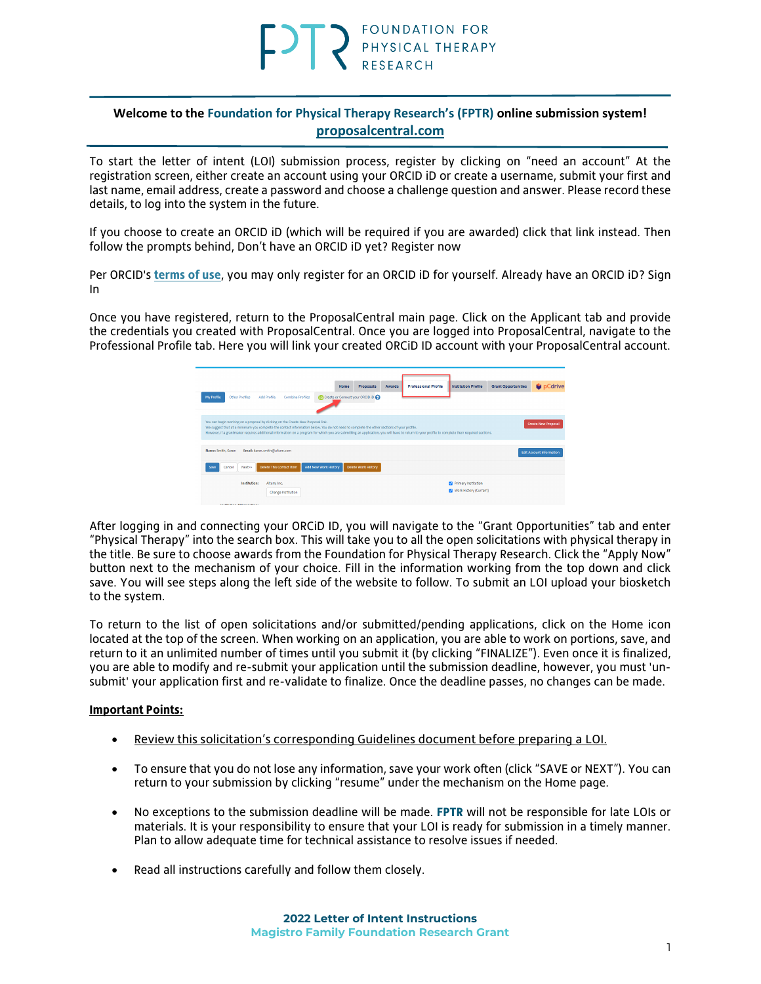#### **Welcome to the Foundation for Physical Therapy Research's (FPTR) online submission system! [proposalcentral.com](https://proposalcentral.com/default.asp)**

To start the letter of intent (LOI) submission process, register by clicking on "need an account" At the registration screen, either create an account using your ORCID iD or create a username, submit your first and last name, email address, create a password and choose a challenge question and answer. Please record these details, to log into the system in the future.

If you choose to create an ORCID iD (which will be required if you are awarded) click that link instead. Then follow the prompts behind, Don't have an ORCID iD yet? Register now

Per ORCID's **[terms of use](https://info.orcid.org/content/orcid-terms-use)**, you may only register for an ORCID iD for yourself. Already have an ORCID iD? Sign In

Once you have registered, return to the ProposalCentral main page. Click on the Applicant tab and provide the credentials you created with ProposalCentral. Once you are logged into ProposalCentral, navigate to the Professional Profile tab. Here you will link your created ORCiD ID account with your ProposalCentral account.



After logging in and connecting your ORCiD ID, you will navigate to the "Grant Opportunities" tab and enter "Physical Therapy" into the search box. This will take you to all the open solicitations with physical therapy in the title. Be sure to choose awards from the Foundation for Physical Therapy Research. Click the "Apply Now" button next to the mechanism of your choice. Fill in the information working from the top down and click save. You will see steps along the left side of the website to follow. To submit an LOI upload your biosketch to the system.

To return to the list of open solicitations and/or submitted/pending applications, click on the Home icon located at the top of the screen. When working on an application, you are able to work on portions, save, and return to it an unlimited number of times until you submit it (by clicking "FINALIZE"). Even once it is finalized, you are able to modify and re-submit your application until the submission deadline, however, you must 'unsubmit' your application first and re-validate to finalize. Once the deadline passes, no changes can be made.

#### **Important Points:**

- Review this solicitation's corresponding Guidelines document before preparing a LOI.
- To ensure that you do not lose any information, save your work often (click "SAVE or NEXT"). You can return to your submission by clicking "resume" under the mechanism on the Home page.
- No exceptions to the submission deadline will be made. **FPTR** will not be responsible for late LOIs or materials. It is your responsibility to ensure that your LOI is ready for submission in a timely manner. Plan to allow adequate time for technical assistance to resolve issues if needed.
- Read all instructions carefully and follow them closely.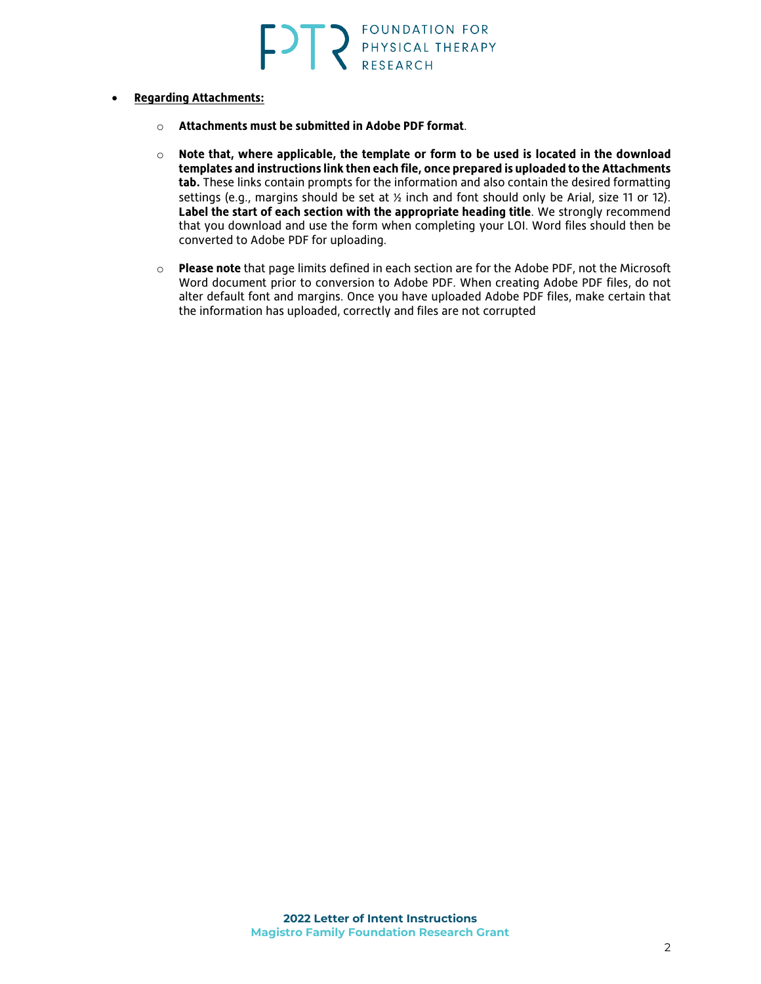- **Regarding Attachments:**
	- o **Attachments must be submitted in Adobe PDF format**.
	- o **Note that, where applicable, the template or form to be used is located in the download templates and instructions link then each file, once prepared is uploaded to the Attachments tab.** These links contain prompts for the information and also contain the desired formatting settings (e.g., margins should be set at  $\frac{1}{2}$  inch and font should only be Arial, size 11 or 12). **Label the start of each section with the appropriate heading title**. We strongly recommend that you download and use the form when completing your LOI. Word files should then be converted to Adobe PDF for uploading.
	- o **Please note** that page limits defined in each section are for the Adobe PDF, not the Microsoft Word document prior to conversion to Adobe PDF. When creating Adobe PDF files, do not alter default font and margins. Once you have uploaded Adobe PDF files, make certain that the information has uploaded, correctly and files are not corrupted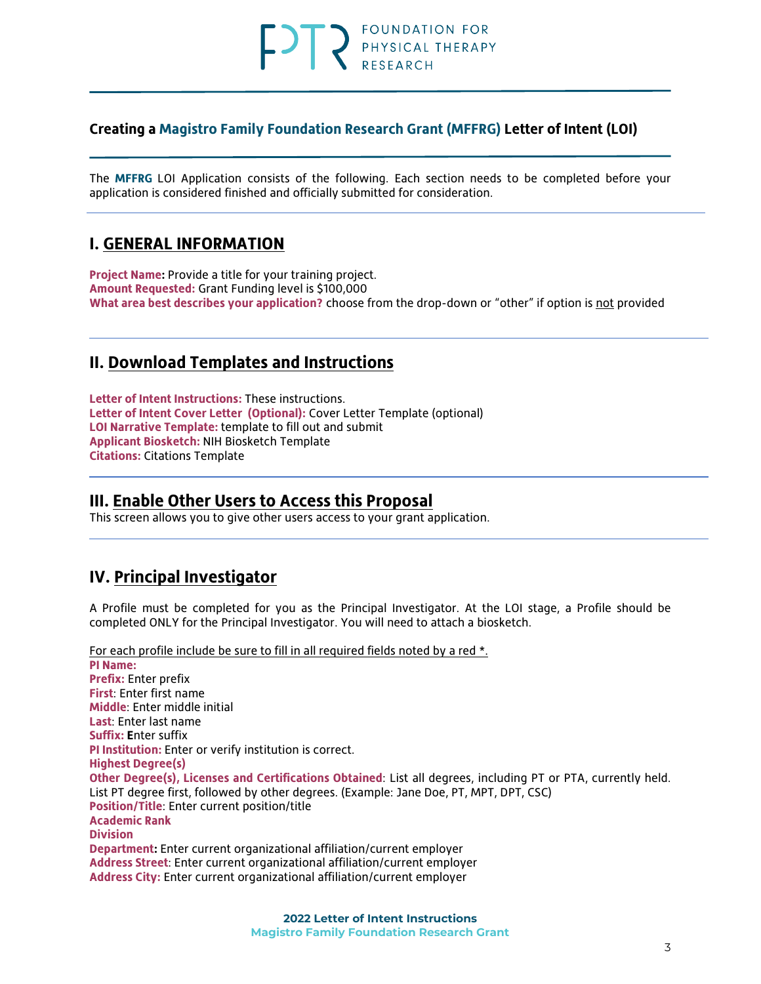# FOUNDATION FOR PHYSICAL THERAPY

#### **Creating a Magistro Family Foundation Research Grant (MFFRG) Letter of Intent (LOI)**

The **MFFRG** LOI Application consists of the following. Each section needs to be completed before your application is considered finished and officially submitted for consideration.

## **I. GENERAL INFORMATION**

**Project Name:** Provide a title for your training project. **Amount Requested:** Grant Funding level is \$100,000 **What area best describes your application?** choose from the drop-down or "other" if option is not provided

# **II. Download Templates and Instructions**

**Letter of Intent Instructions:** These instructions. **Letter of Intent Cover Letter (Optional):** Cover Letter Template (optional) **LOI Narrative Template:** template to fill out and submit **Applicant Biosketch:** NIH Biosketch Template **Citations:** Citations Template

### **III. Enable Other Users to Access this Proposal**

This screen allows you to give other users access to your grant application.

# **IV. Principal Investigator**

A Profile must be completed for you as the Principal Investigator. At the LOI stage, a Profile should be completed ONLY for the Principal Investigator. You will need to attach a biosketch.

For each profile include be sure to fill in all required fields noted by a red \*.

**PI Name: Prefix:** Enter prefix **First**: Enter first name **Middle**: Enter middle initial **Last**: Enter last name **Suffix: E**nter suffix **PI Institution:** Enter or verify institution is correct. **Highest Degree(s) Other Degree(s), Licenses and Certifications Obtained**: List all degrees, including PT or PTA, currently held. List PT degree first, followed by other degrees. (Example: Jane Doe, PT, MPT, DPT, CSC) **Position/Title**: Enter current position/title **Academic Rank Division Department:** Enter current organizational affiliation/current employer **Address Street**: Enter current organizational affiliation/current employer **Address City:** Enter current organizational affiliation/current employer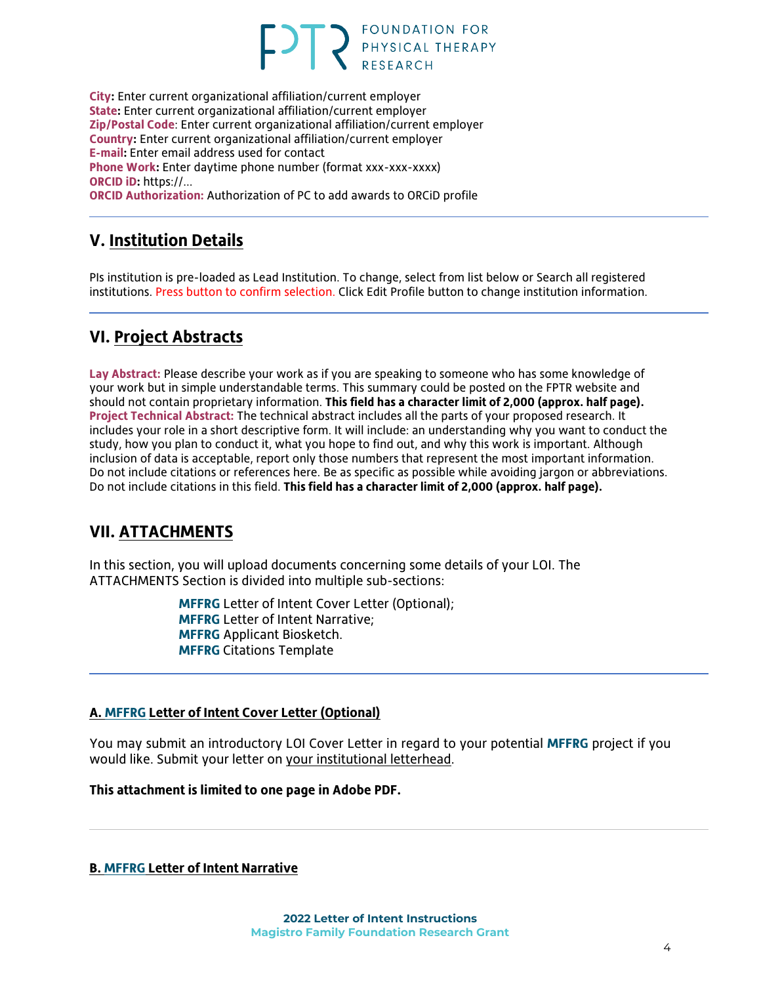# **FOUNDATION FOR** PHYSICAL THERAPY

**City:** Enter current organizational affiliation/current employer **State:** Enter current organizational affiliation/current employer **Zip/Postal Code**: Enter current organizational affiliation/current employer **Country:** Enter current organizational affiliation/current employer **E-mail:** Enter email address used for contact **Phone Work:** Enter daytime phone number (format xxx-xxx-xxxx) **ORCID iD:** https://... **ORCID Authorization:** Authorization of PC to add awards to ORCiD profile

# **V. Institution Details**

PIs institution is pre-loaded as Lead Institution. To change, select from list below or Search all registered institutions. Press button to confirm selection. Click Edit Profile button to change institution information.

# **VI. Project Abstracts**

**Lay Abstract:** Please describe your work as if you are speaking to someone who has some knowledge of your work but in simple understandable terms. This summary could be posted on the FPTR website and should not contain proprietary information. **This field has a character limit of 2,000 (approx. half page). Project Technical Abstract:** The technical abstract includes all the parts of your proposed research. It includes your role in a short descriptive form. It will include: an understanding why you want to conduct the study, how you plan to conduct it, what you hope to find out, and why this work is important. Although inclusion of data is acceptable, report only those numbers that represent the most important information. Do not include citations or references here. Be as specific as possible while avoiding jargon or abbreviations. Do not include citations in this field. **This field has a character limit of 2,000 (approx. half page).**

# **VII. ATTACHMENTS**

In this section, you will upload documents concerning some details of your LOI. The ATTACHMENTS Section is divided into multiple sub-sections:

> **MFFRG** Letter of Intent Cover Letter (Optional); **MFFRG** Letter of Intent Narrative; **MFFRG** Applicant Biosketch. **MFFRG** Citations Template

#### **A. MFFRG Letter of Intent Cover Letter (Optional)**

You may submit an introductory LOI Cover Letter in regard to your potential **MFFRG** project if you would like. Submit your letter on your institutional letterhead.

**This attachment is limited to one page in Adobe PDF.**

**B. MFFRG Letter of Intent Narrative**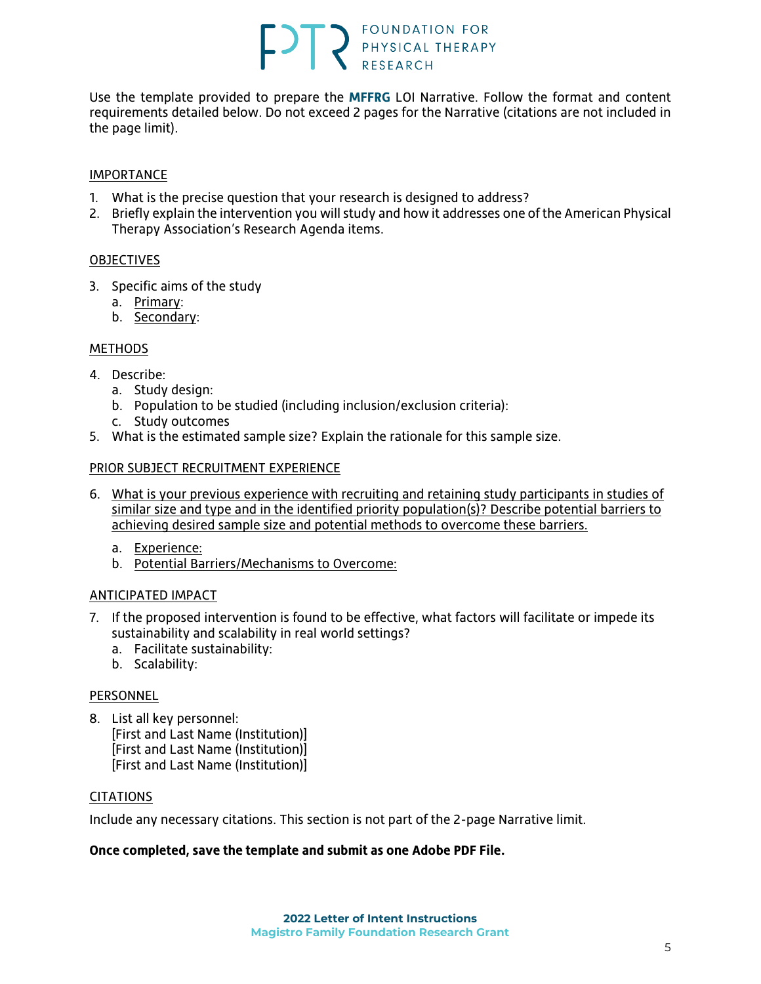# **FOT PESEARCH PRESEARCH**

Use the template provided to prepare the **MFFRG** LOI Narrative. Follow the format and content requirements detailed below. Do not exceed 2 pages for the Narrative (citations are not included in the page limit).

#### IMPORTANCE

- 1. What is the precise question that your research is designed to address?
- 2. Briefly explain the intervention you will study and how it addresses one of the American Physical Therapy Association's Research Agenda items.

#### **[OBJECTIVES](http://www.pcori.org/AppData/Local/Microsoft/Windows/AppData/Local/Microsoft/Windows/Temporary%20Internet%20Files/Content.Outlook/AppData/Local/Microsoft/Windows/AppData/Local/Microsoft/Windows/AppData/Local/Microsoft/OBJECTIVES)**

- 3. Specific aims of the study
	- a. Primary:
	- b. Secondary:

#### **[METHODS](http://www.pcori.org/AppData/Local/Microsoft/Windows/AppData/Local/Microsoft/Windows/Temporary%20Internet%20Files/Content.Outlook/AppData/Local/Microsoft/Windows/AppData/Local/Microsoft/Windows/AppData/Local/Microsoft/METHODS)**

- 4. Describe:
	- a. Study design:
	- b. Population to be studied (including inclusion/exclusion criteria):
	- c. Study outcomes
- 5. What is the estimated sample size? Explain the rationale for this sample size.

#### PRIOR SUBJECT RECRUITMENT EXPERIENCE

- 6. What is your previous experience with recruiting and retaining study participants in studies of similar size and type and in the identified priority population(s)? Describe potential barriers to achieving desired sample size and potential methods to overcome these barriers.
	- a. Experience:
	- b. Potential Barriers/Mechanisms to Overcome:

#### ANTICIPATED IMPACT

- 7. If the proposed intervention is found to be effective, what factors will facilitate or impede its sustainability and scalability in real world settings?
	- a. Facilitate sustainability:
	- b. Scalability:

#### **PERSONNEL**

8. List all key personnel: [First and Last Name (Institution)] [First and Last Name (Institution)] [First and Last Name (Institution)]

#### CITATIONS

Include any necessary citations. This section is not part of the 2-page Narrative limit.

#### **Once completed, save the template and submit as one Adobe PDF File.**